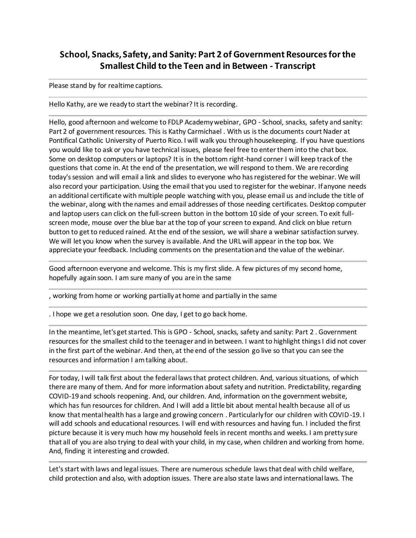## **School, Snacks, Safety, and Sanity: Part 2 of Government Resources for the Smallest Child to the Teen and in Between - Transcript**

Please stand by for realtime captions.

Hello Kathy, are we ready to start the webinar? It is recording.

Hello, good afternoon and welcome to FDLP Academy webinar, GPO - School, snacks, safety and sanity: Part 2 of government resources. This is Kathy Carmichael . With us is the documents court Nader at Pontifical Catholic University of Puerto Rico. I will walk you through housekeeping. If you have questions you would like to ask or you have technical issues, please feel free to enter them into the chat box. Some on desktop computers or laptops? It is in the bottom right-hand corner I will keep track of the questions that come in. At the end of the presentation, we will respond to them. We are recording today's session and will email a link and slides to everyone who has registered for the webinar. We will also record your participation. Using the email that you used to register for the webinar. If anyone needs an additional certificate with multiple people watching with you, please email us and include the title of the webinar, along with the names and email addresses of those needing certificates. Desktop computer and laptop users can click on the full-screen button in the bottom 10 side of your screen. To exit fullscreen mode, mouse over the blue bar at the top of your screen to expand. And click on blue return button to get to reduced rained. At the end of the session, we will share a webinar satisfaction survey. We will let you know when the survey is available. And the URL will appear in the top box. We appreciate your feedback. Including comments on the presentation and the value of the webinar.

Good afternoon everyone and welcome. This is my first slide. A few pictures of my second home, hopefully again soon. I am sure many of you are in the same

, working from home or working partially at home and partially in the same

. I hope we get a resolution soon. One day, I get to go back home.

In the meantime, let's get started. This is GPO - School, snacks, safety and sanity: Part 2 . Government resources for the smallest child to the teenager and in between. I want to highlight things I did not cover in the first part of the webinar. And then, at the end of the session go live so that you can see the resources and information I am talking about.

For today, I will talk first about the federal laws that protect children. And, various situations, of which there are many of them. And for more information about safety and nutrition. Predictability, regarding COVID-19 and schools reopening. And, our children. And, information on the government website, which has fun resources for children. And I will add a little bit about mental health because all of us know that mental health has a large and growing concern . Particularly for our children with COVID-19. I will add schools and educational resources. I will end with resources and having fun. I included the first picture because it is very much how my household feels in recent months and weeks. I am pretty sure that all of you are also trying to deal with your child, in my case, when children and working from home. And, finding it interesting and crowded.

Let's start with laws and legal issues. There are numerous schedule laws that deal with child welfare, child protection and also, with adoption issues. There are also state laws and international laws. The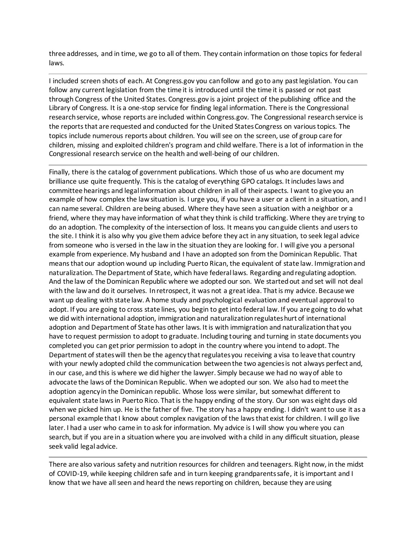three addresses, and in time, we go to all of them. They contain information on those topics for federal laws.

I included screen shots of each. At Congress.gov you can follow and go to any past legislation. You can follow any current legislation from the time it is introduced until the time it is passed or not past through Congress of the United States. Congress.gov is a joint project of the publishing office and the Library of Congress. It is a one-stop service for finding legal information. There is the Congressional research service, whose reports are included within Congress.gov. The Congressional research service is the reports that are requested and conducted for the United States Congress on various topics. The topics include numerous reports about children. You will see on the screen, use of group care for children, missing and exploited children's program and child welfare. There is a lot of information in the Congressional research service on the health and well-being of our children.

Finally, there is the catalog of government publications. Which those of us who are document my brilliance use quite frequently. This is the catalog of everything GPO catalogs. It includes laws and committee hearings and legal information about children in all of their aspects. I want to give you an example of how complex the law situation is. I urge you, if you have a user or a client in a situation, and I can name several. Children are being abused. Where they have seen a situation with a neighbor or a friend, where they may have information of what they think is child trafficking. Where they are trying to do an adoption. The complexity of the intersection of loss. It means you can guide clients and users to the site. I think it is also why you give them advice before they act in any situation, to seek legal advice from someone who is versed in the law in the situation they are looking for. I will give you a personal example from experience. My husband and I have an adopted son from the Dominican Republic. That means that our adoption wound up including Puerto Rican, the equivalent of state law. Immigration and naturalization. The Department of State, which have federal laws. Regarding and regulating adoption. And the law of the Dominican Republic where we adopted our son. We started out and set will not deal with the law and do it ourselves. In retrospect, it was not a great idea. That is my advice. Because we want up dealing with state law. A home study and psychological evaluation and eventual approval to adopt. If you are going to cross state lines, you begin to get into federal law. If you are going to do what we did with international adoption, immigration and naturalization regulates hurt of international adoption and Department of State has other laws. It is with immigration and naturalization that you have to request permission to adopt to graduate. Including touring and turning in state documents you completed you can get prior permission to adopt in the country where you intend to adopt. The Department of states will then be the agency that regulates you receiving a visa to leave that country with your newly adopted child the communication between the two agencies is not always perfect and, in our case, and this is where we did higher the lawyer. Simply because we had no way of able to advocate the laws of the Dominican Republic. When we adopted our son. We also had to meet the adoption agency in the Dominican republic. Whose loss were similar, but somewhat different to equivalent state laws in Puerto Rico. That is the happy ending of the story. Our son was eight days old when we picked him up. He is the father of five. The story has a happy ending. I didn't want to use it as a personal example that I know about complex navigation of the laws that exist for children. I will go live later. I had a user who came in to ask for information. My advice is I will show you where you can search, but if you are in a situation where you are involved with a child in any difficult situation, please seek valid legal advice.

There are also various safety and nutrition resources for children and teenagers. Right now, in the midst of COVID-19, while keeping children safe and in turn keeping grandparents safe, it is important and I know that we have all seen and heard the news reporting on children, because they are using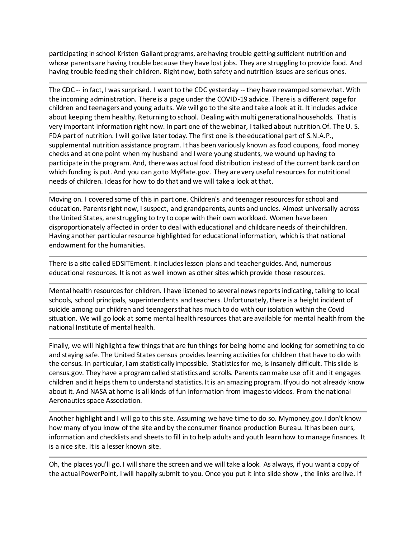participating in school Kristen Gallant programs, are having trouble getting sufficient nutrition and whose parents are having trouble because they have lost jobs. They are struggling to provide food. And having trouble feeding their children. Right now, both safety and nutrition issues are serious ones.

The CDC -- in fact, I was surprised. I want to the CDC yesterday -- they have revamped somewhat. With the incoming administration. There is a page under the COVID-19 advice. There is a different page for children and teenagers and young adults. We will go to the site and take a look at it. It includes advice about keeping them healthy. Returning to school. Dealing with multi generational households. That is very important information right now. In part one of the webinar, I talked about nutrition.Of. The U. S. FDA part of nutrition. I will go live later today. The first one is the educational part of S.N.A.P., supplemental nutrition assistance program. It has been variously known as food coupons, food money checks and at one point when my husband and I were young students, we wound up having to participate in the program. And, there was actual food distribution instead of the current bank card on which funding is put. And you can go to MyPlate.gov. They are very useful resources for nutritional needs of children. Ideas for how to do that and we will take a look at that.

Moving on. I covered some of this in part one. Children's and teenager resources for school and education. Parents right now, I suspect, and grandparents, aunts and uncles. Almost universally across the United States, are struggling to try to cope with their own workload. Women have been disproportionately affected in order to deal with educational and childcare needs of their children. Having another particular resource highlighted for educational information, which is that national endowment for the humanities.

There is a site called EDSITEment. it includes lesson plans and teacher guides. And, numerous educational resources. It is not as well known as other sites which provide those resources.

Mental health resources for children. I have listened to several news reports indicating, talking to local schools, school principals, superintendents and teachers. Unfortunately, there is a height incident of suicide among our children and teenagers that has much to do with our isolation within the Covid situation. We will go look at some mental health resources that are available for mental health from the national Institute of mental health.

Finally, we will highlight a few things that are fun things for being home and looking for something to do and staying safe. The United States census provides learning activities for children that have to do with the census. In particular, I am statistically impossible. Statistics for me, is insanely difficult. This slide is census.gov. They have a program called statistics and scrolls. Parents can make use of it and it engages children and it helps them to understand statistics. It is an amazing program. If you do not already know about it. And NASA at home is all kinds of fun information from images to videos. From the national Aeronautics space Association.

Another highlight and I will go to this site. Assuming we have time to do so. Mymoney.gov.I don't know how many of you know of the site and by the consumer finance production Bureau. It has been ours, information and checklists and sheets to fill in to help adults and youth learn how to manage finances. It is a nice site. It is a lesser known site.

Oh, the places you'll go. I will share the screen and we will take a look. As always, if you want a copy of the actual PowerPoint, I will happily submit to you. Once you put it into slide show , the links are live. If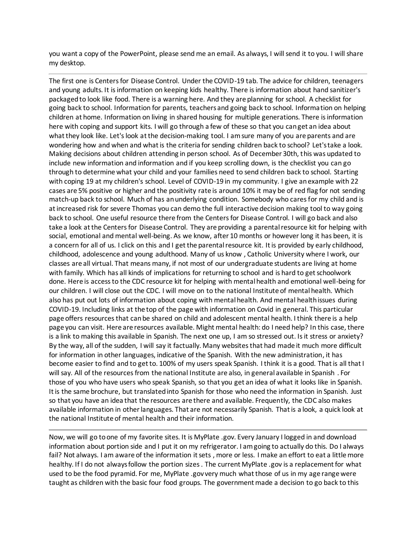you want a copy of the PowerPoint, please send me an email. As always, I will send it to you. I will share my desktop.

The first one is Centers for Disease Control. Under the COVID-19 tab. The advice for children, teenagers and young adults. It is information on keeping kids healthy. There is information about hand sanitizer's packaged to look like food. There is a warning here. And they are planning for school. A checklist for going back to school. Information for parents, teachers and going back to school. Information on helping children at home. Information on living in shared housing for multiple generations. There is information here with coping and support kits. I will go through a few of these so that you can get an idea about what they look like. Let's look at the decision-making tool. I am sure many of you are parents and are wondering how and when and what is the criteria for sending children back to school? Let's take a look. Making decisions about children attending in person school. As of December 30th, this was updated to include new information and information and if you keep scrolling down, is the checklist you can go through to determine what your child and your families need to send children back to school. Starting with coping 19 at my children's school. Level of COVID-19 in my community. I give an example with 22 cases are 5% positive or higher and the positivity rate is around 10% it may be of red flag for not sending match-up back to school. Much of has an underlying condition. Somebody who cares for my child and is at increased risk for severe Thomas you can demo the full interactive decision making tool to way going back to school. One useful resource there from the Centers for Disease Control. I will go back and also take a look at the Centers for Disease Control. They are providing a parental resource kit for helping with social, emotional and mental well-being. As we know, after 10 months or however long it has been, it is a concern for all of us. I click on this and I get the parental resource kit. It is provided by early childhood, childhood, adolescence and young adulthood. Many of us know , Catholic University where I work, our classes are all virtual. That means many, if not most of our undergraduate students are living at home with family. Which has all kinds of implications for returning to school and is hard to get schoolwork done. Here is access to the CDC resource kit for helping with mental health and emotional well-being for our children. I will close out the CDC. I will move on to the national Institute of mental health. Which also has put out lots of information about coping with mental health. And mental health issues during COVID-19. Including links at the top of the page with information on Covid in general. This particular page offers resources that can be shared on child and adolescent mental health. I think there is a help page you can visit. Here are resources available. Might mental health: do I need help? In this case, there is a link to making this available in Spanish. The next one up, I am so stressed out. Is it stress or anxiety? By the way, all of the sudden, I will say it factually. Many websites that had made it much more difficult for information in other languages, indicative of the Spanish. With the new administration, it has become easier to find and to get to. 100% of my users speak Spanish. I think it is a good. That is all that I will say. All of the resources from the national Institute are also, in general available in Spanish . For those of you who have users who speak Spanish, so that you get an idea of what it looks like in Spanish. It is the same brochure, but translated into Spanish for those who need the information in Spanish. Just so that you have an idea that the resources are there and available. Frequently, the CDC also makes available information in other languages. That are not necessarily Spanish. That is a look, a quick look at the national Institute of mental health and their information.

Now, we will go to one of my favorite sites. It is MyPlate .gov. Every January I logged in and download information about portion side and I put it on my refrigerator. I am going to actually do this. Do I always fail? Not always. I am aware of the information it sets , more or less. I make an effort to eat a little more healthy. If I do not always follow the portion sizes . The current MyPlate .gov is a replacement for what used to be the food pyramid. For me, MyPlate .gov very much what those of us in my age range were taught as children with the basic four food groups. The government made a decision to go back to this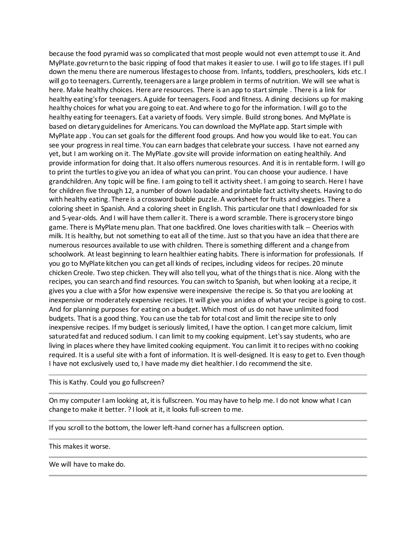because the food pyramid was so complicated that most people would not even attempt to use it. And MyPlate.gov return to the basic ripping of food that makes it easier to use. I will go to life stages. If I pull down the menu there are numerous lifestages to choose from. Infants, toddlers, preschoolers, kids etc. I will go to teenagers. Currently, teenagers are a large problem in terms of nutrition. We will see what is here. Make healthy choices. Here are resources. There is an app to start simple . There is a link for healthy eating's for teenagers. A guide for teenagers. Food and fitness. A dining decisions up for making healthy choices for what you are going to eat. And where to go for the information. I will go to the healthy eating for teenagers. Eat a variety of foods. Very simple. Build strong bones. And MyPlate is based on dietary guidelines for Americans. You can download the MyPlate app. Start simple with MyPlate app . You can set goals for the different food groups. And how you would like to eat. You can see your progress in real time. You can earn badges that celebrate your success. I have not earned any yet, but I am working on it. The MyPlate .gov site will provide information on eating healthily. And provide information for doing that. It also offers numerous resources. And it is in rentable form. I will go to print the turtles to give you an idea of what you can print. You can choose your audience. I have grandchildren. Any topic will be fine. I am going to tell it activity sheet. I am going to search. Here I have for children five through 12, a number of down loadable and printable fact activity sheets. Having to do with healthy eating. There is a crossword bubble puzzle. A worksheet for fruits and veggies. There a coloring sheet in Spanish. And a coloring sheet in English. This particular one that I downloaded for six and 5-year-olds. And I will have them caller it. There is a word scramble. There is grocery store bingo game. There is MyPlate menu plan. That one backfired. One loves charities with talk -- Cheerios with milk. It is healthy, but not something to eat all of the time. Just so that you have an idea that there are numerous resources available to use with children. There is something different and a change from schoolwork. At least beginning to learn healthier eating habits. There is information for professionals. If you go to MyPlate kitchen you can get all kinds of recipes, including videos for recipes. 20 minute chicken Creole. Two step chicken. They will also tell you, what of the things that is nice. Along with the recipes, you can search and find resources. You can switch to Spanish, but when looking at a recipe, it gives you a clue with a \$for how expensive were inexpensive the recipe is. So that you are looking at inexpensive or moderately expensive recipes. It will give you an idea of what your recipe is going to cost. And for planning purposes for eating on a budget. Which most of us do not have unlimited food budgets. That is a good thing. You can use the tab for total cost and limit the recipe site to only inexpensive recipes. If my budget is seriously limited, I have the option. I can get more calcium, limit saturated fat and reduced sodium. I can limit to my cooking equipment. Let's say students, who are living in places where they have limited cooking equipment. You can limit it to recipes with no cooking required. It is a useful site with a font of information. It is well-designed. It is easy to get to. Even though I have not exclusively used to, I have made my diet healthier. I do recommend the site.

This is Kathy. Could you go fullscreen?

On my computer I am looking at, it is fullscreen. You may have to help me. I do not know what I can change to make it better. ? I look at it, it looks full-screen to me.

If you scroll to the bottom, the lower left-hand corner has a fullscreen option.

This makes it worse.

We will have to make do.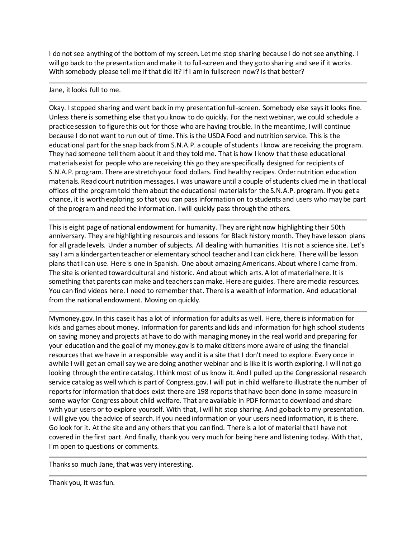I do not see anything of the bottom of my screen. Let me stop sharing because I do not see anything. I will go back to the presentation and make it to full-screen and they go to sharing and see if it works. With somebody please tell me if that did it? If I am in fullscreen now? Is that better?

## Jane, it looks full to me.

Okay. I stopped sharing and went back in my presentation full-screen. Somebody else says it looks fine. Unless there is something else that you know to do quickly. For the next webinar, we could schedule a practice session to figure this out for those who are having trouble. In the meantime, I will continue because I do not want to run out of time. This is the USDA Food and nutrition service. This is the educational part for the snap back from S.N.A.P. a couple of students I know are receiving the program. They had someone tell them about it and they told me. That is how I know that these educational materials exist for people who are receiving this go they are specifically designed for recipients of S.N.A.P. program. There are stretch your food dollars. Find healthy recipes. Order nutrition education materials. Read court nutrition messages. I was unaware until a couple of students clued me in that local offices of the program told them about the educational materials for the S.N.A.P. program. If you get a chance, it is worth exploring so that you can pass information on to students and users who may be part of the program and need the information. I will quickly pass through the others.

This is eight page of national endowment for humanity. They are right now highlighting their 50th anniversary. They are highlighting resources and lessons for Black history month. They have lesson plans for all grade levels. Under a number of subjects. All dealing with humanities. It is not a science site. Let's say I am a kindergarten teacher or elementary school teacher and I can click here. There will be lesson plans that I can use. Here is one in Spanish. One about amazing Americans. About where I came from. The site is oriented toward cultural and historic. And about which arts. A lot of material here. It is something that parents can make and teachers can make. Here are guides. There are media resources. You can find videos here. I need to remember that. There is a wealth of information. And educational from the national endowment. Moving on quickly.

Mymoney.gov. In this case it has a lot of information for adults as well. Here, there is information for kids and games about money. Information for parents and kids and information for high school students on saving money and projects at have to do with managing money in the real world and preparing for your education and the goal of my money.gov is to make citizens more aware of using the financial resources that we have in a responsible way and it is a site that I don't need to explore. Every once in awhile I will get an email say we are doing another webinar and is like it is worth exploring. I will not go looking through the entire catalog. I think most of us know it. And I pulled up the Congressional research service catalog as well which is part of Congress.gov. I will put in child welfare to illustrate the number of reports for information that does exist there are 198 reports that have been done in some measure in some way for Congress about child welfare. That are available in PDF format to download and share with your users or to explore yourself. With that, I will hit stop sharing. And go back to my presentation. I will give you the advice of search. If you need information or your users need information, it is there. Go look for it. At the site and any others that you can find. There is a lot of material that I have not covered in the first part. And finally, thank you very much for being here and listening today. With that, I'm open to questions or comments.

Thanks so much Jane, that was very interesting.